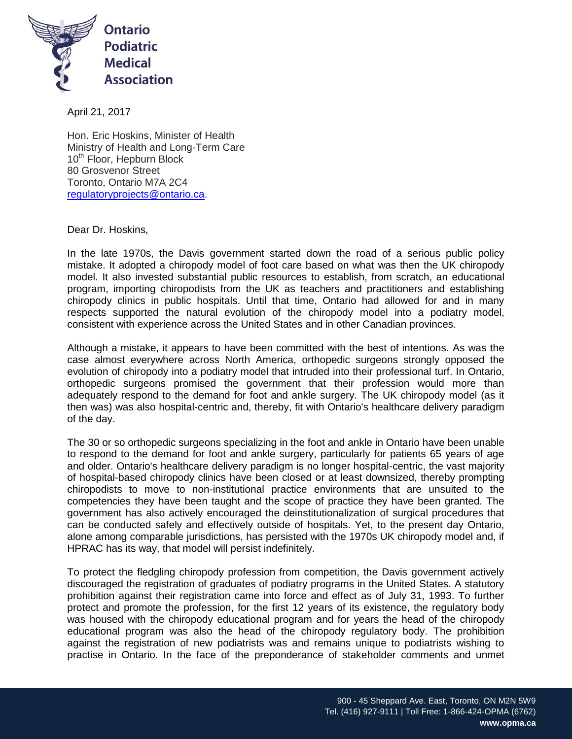

April 21, 2017

Hon. Eric Hoskins, Minister of Health Ministry of Health and Long-Term Care 10<sup>th</sup> Floor, Hepburn Block 80 Grosvenor Street Toronto, Ontario M7A 2C4 [regulatoryprojects@ontario.ca.](mailto:regulatoryprojects@ontario.ca)

Dear Dr. Hoskins,

In the late 1970s, the Davis government started down the road of a serious public policy mistake. It adopted a chiropody model of foot care based on what was then the UK chiropody model. It also invested substantial public resources to establish, from scratch, an educational program, importing chiropodists from the UK as teachers and practitioners and establishing chiropody clinics in public hospitals. Until that time, Ontario had allowed for and in many respects supported the natural evolution of the chiropody model into a podiatry model, consistent with experience across the United States and in other Canadian provinces.

Although a mistake, it appears to have been committed with the best of intentions. As was the case almost everywhere across North America, orthopedic surgeons strongly opposed the evolution of chiropody into a podiatry model that intruded into their professional turf. In Ontario, orthopedic surgeons promised the government that their profession would more than adequately respond to the demand for foot and ankle surgery. The UK chiropody model (as it then was) was also hospital-centric and, thereby, fit with Ontario's healthcare delivery paradigm of the day.

The 30 or so orthopedic surgeons specializing in the foot and ankle in Ontario have been unable to respond to the demand for foot and ankle surgery, particularly for patients 65 years of age and older. Ontario's healthcare delivery paradigm is no longer hospital-centric, the vast majority of hospital-based chiropody clinics have been closed or at least downsized, thereby prompting chiropodists to move to non-institutional practice environments that are unsuited to the competencies they have been taught and the scope of practice they have been granted. The government has also actively encouraged the deinstitutionalization of surgical procedures that can be conducted safely and effectively outside of hospitals. Yet, to the present day Ontario, alone among comparable jurisdictions, has persisted with the 1970s UK chiropody model and, if HPRAC has its way, that model will persist indefinitely.

To protect the fledgling chiropody profession from competition, the Davis government actively discouraged the registration of graduates of podiatry programs in the United States. A statutory prohibition against their registration came into force and effect as of July 31, 1993. To further protect and promote the profession, for the first 12 years of its existence, the regulatory body was housed with the chiropody educational program and for years the head of the chiropody educational program was also the head of the chiropody regulatory body. The prohibition against the registration of new podiatrists was and remains unique to podiatrists wishing to practise in Ontario. In the face of the preponderance of stakeholder comments and unmet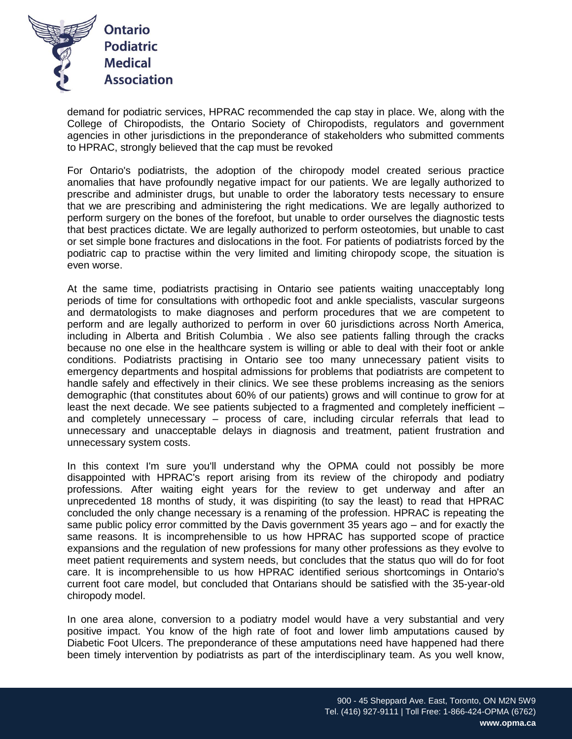

demand for podiatric services, HPRAC recommended the cap stay in place. We, along with the College of Chiropodists, the Ontario Society of Chiropodists, regulators and government agencies in other jurisdictions in the preponderance of stakeholders who submitted comments to HPRAC, strongly believed that the cap must be revoked

For Ontario's podiatrists, the adoption of the chiropody model created serious practice anomalies that have profoundly negative impact for our patients. We are legally authorized to prescribe and administer drugs, but unable to order the laboratory tests necessary to ensure that we are prescribing and administering the right medications. We are legally authorized to perform surgery on the bones of the forefoot, but unable to order ourselves the diagnostic tests that best practices dictate. We are legally authorized to perform osteotomies, but unable to cast or set simple bone fractures and dislocations in the foot. For patients of podiatrists forced by the podiatric cap to practise within the very limited and limiting chiropody scope, the situation is even worse.

At the same time, podiatrists practising in Ontario see patients waiting unacceptably long periods of time for consultations with orthopedic foot and ankle specialists, vascular surgeons and dermatologists to make diagnoses and perform procedures that we are competent to perform and are legally authorized to perform in over 60 jurisdictions across North America, including in Alberta and British Columbia . We also see patients falling through the cracks because no one else in the healthcare system is willing or able to deal with their foot or ankle conditions. Podiatrists practising in Ontario see too many unnecessary patient visits to emergency departments and hospital admissions for problems that podiatrists are competent to handle safely and effectively in their clinics. We see these problems increasing as the seniors demographic (that constitutes about 60% of our patients) grows and will continue to grow for at least the next decade. We see patients subjected to a fragmented and completely inefficient – and completely unnecessary – process of care, including circular referrals that lead to unnecessary and unacceptable delays in diagnosis and treatment, patient frustration and unnecessary system costs.

In this context I'm sure you'll understand why the OPMA could not possibly be more disappointed with HPRAC's report arising from its review of the chiropody and podiatry professions. After waiting eight years for the review to get underway and after an unprecedented 18 months of study, it was dispiriting (to say the least) to read that HPRAC concluded the only change necessary is a renaming of the profession. HPRAC is repeating the same public policy error committed by the Davis government 35 years ago – and for exactly the same reasons. It is incomprehensible to us how HPRAC has supported scope of practice expansions and the regulation of new professions for many other professions as they evolve to meet patient requirements and system needs, but concludes that the status quo will do for foot care. It is incomprehensible to us how HPRAC identified serious shortcomings in Ontario's current foot care model, but concluded that Ontarians should be satisfied with the 35-year-old chiropody model.

In one area alone, conversion to a podiatry model would have a very substantial and very positive impact. You know of the high rate of foot and lower limb amputations caused by Diabetic Foot Ulcers. The preponderance of these amputations need have happened had there been timely intervention by podiatrists as part of the interdisciplinary team. As you well know,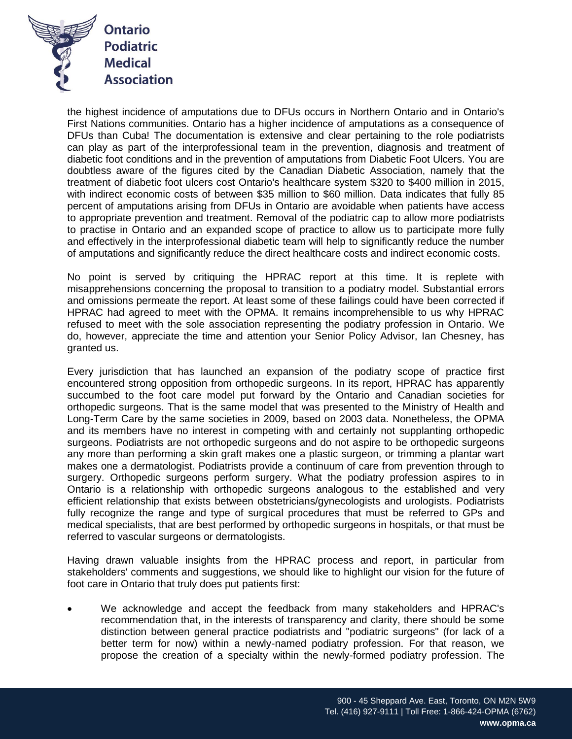

the highest incidence of amputations due to DFUs occurs in Northern Ontario and in Ontario's First Nations communities. Ontario has a higher incidence of amputations as a consequence of DFUs than Cuba! The documentation is extensive and clear pertaining to the role podiatrists can play as part of the interprofessional team in the prevention, diagnosis and treatment of diabetic foot conditions and in the prevention of amputations from Diabetic Foot Ulcers. You are doubtless aware of the figures cited by the Canadian Diabetic Association, namely that the treatment of diabetic foot ulcers cost Ontario's healthcare system \$320 to \$400 million in 2015, with indirect economic costs of between \$35 million to \$60 million. Data indicates that fully 85 percent of amputations arising from DFUs in Ontario are avoidable when patients have access to appropriate prevention and treatment. Removal of the podiatric cap to allow more podiatrists to practise in Ontario and an expanded scope of practice to allow us to participate more fully and effectively in the interprofessional diabetic team will help to significantly reduce the number of amputations and significantly reduce the direct healthcare costs and indirect economic costs.

No point is served by critiquing the HPRAC report at this time. It is replete with misapprehensions concerning the proposal to transition to a podiatry model. Substantial errors and omissions permeate the report. At least some of these failings could have been corrected if HPRAC had agreed to meet with the OPMA. It remains incomprehensible to us why HPRAC refused to meet with the sole association representing the podiatry profession in Ontario. We do, however, appreciate the time and attention your Senior Policy Advisor, Ian Chesney, has granted us.

Every jurisdiction that has launched an expansion of the podiatry scope of practice first encountered strong opposition from orthopedic surgeons. In its report, HPRAC has apparently succumbed to the foot care model put forward by the Ontario and Canadian societies for orthopedic surgeons. That is the same model that was presented to the Ministry of Health and Long-Term Care by the same societies in 2009, based on 2003 data. Nonetheless, the OPMA and its members have no interest in competing with and certainly not supplanting orthopedic surgeons. Podiatrists are not orthopedic surgeons and do not aspire to be orthopedic surgeons any more than performing a skin graft makes one a plastic surgeon, or trimming a plantar wart makes one a dermatologist. Podiatrists provide a continuum of care from prevention through to surgery. Orthopedic surgeons perform surgery. What the podiatry profession aspires to in Ontario is a relationship with orthopedic surgeons analogous to the established and very efficient relationship that exists between obstetricians/gynecologists and urologists. Podiatrists fully recognize the range and type of surgical procedures that must be referred to GPs and medical specialists, that are best performed by orthopedic surgeons in hospitals, or that must be referred to vascular surgeons or dermatologists.

Having drawn valuable insights from the HPRAC process and report, in particular from stakeholders' comments and suggestions, we should like to highlight our vision for the future of foot care in Ontario that truly does put patients first:

 We acknowledge and accept the feedback from many stakeholders and HPRAC's recommendation that, in the interests of transparency and clarity, there should be some distinction between general practice podiatrists and "podiatric surgeons" (for lack of a better term for now) within a newly-named podiatry profession. For that reason, we propose the creation of a specialty within the newly-formed podiatry profession. The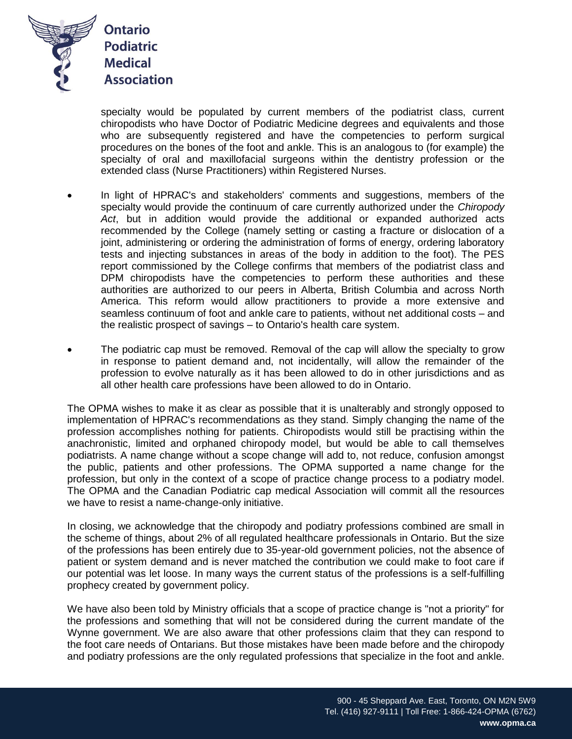

specialty would be populated by current members of the podiatrist class, current chiropodists who have Doctor of Podiatric Medicine degrees and equivalents and those who are subsequently registered and have the competencies to perform surgical procedures on the bones of the foot and ankle. This is an analogous to (for example) the specialty of oral and maxillofacial surgeons within the dentistry profession or the extended class (Nurse Practitioners) within Registered Nurses.

- In light of HPRAC's and stakeholders' comments and suggestions, members of the specialty would provide the continuum of care currently authorized under the *Chiropody Act*, but in addition would provide the additional or expanded authorized acts recommended by the College (namely setting or casting a fracture or dislocation of a joint, administering or ordering the administration of forms of energy, ordering laboratory tests and injecting substances in areas of the body in addition to the foot). The PES report commissioned by the College confirms that members of the podiatrist class and DPM chiropodists have the competencies to perform these authorities and these authorities are authorized to our peers in Alberta, British Columbia and across North America. This reform would allow practitioners to provide a more extensive and seamless continuum of foot and ankle care to patients, without net additional costs – and the realistic prospect of savings – to Ontario's health care system.
- The podiatric cap must be removed. Removal of the cap will allow the specialty to grow in response to patient demand and, not incidentally, will allow the remainder of the profession to evolve naturally as it has been allowed to do in other jurisdictions and as all other health care professions have been allowed to do in Ontario.

The OPMA wishes to make it as clear as possible that it is unalterably and strongly opposed to implementation of HPRAC's recommendations as they stand. Simply changing the name of the profession accomplishes nothing for patients. Chiropodists would still be practising within the anachronistic, limited and orphaned chiropody model, but would be able to call themselves podiatrists. A name change without a scope change will add to, not reduce, confusion amongst the public, patients and other professions. The OPMA supported a name change for the profession, but only in the context of a scope of practice change process to a podiatry model. The OPMA and the Canadian Podiatric cap medical Association will commit all the resources we have to resist a name-change-only initiative.

In closing, we acknowledge that the chiropody and podiatry professions combined are small in the scheme of things, about 2% of all regulated healthcare professionals in Ontario. But the size of the professions has been entirely due to 35-year-old government policies, not the absence of patient or system demand and is never matched the contribution we could make to foot care if our potential was let loose. In many ways the current status of the professions is a self-fulfilling prophecy created by government policy.

We have also been told by Ministry officials that a scope of practice change is "not a priority" for the professions and something that will not be considered during the current mandate of the Wynne government. We are also aware that other professions claim that they can respond to the foot care needs of Ontarians. But those mistakes have been made before and the chiropody and podiatry professions are the only regulated professions that specialize in the foot and ankle.